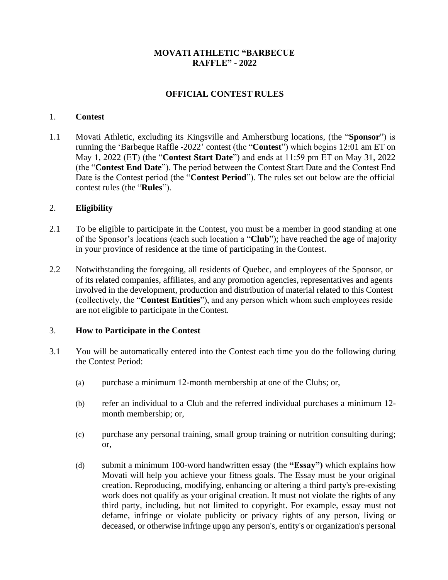### **MOVATI ATHLETIC "BARBECUE RAFFLE" - 2022**

# **OFFICIAL CONTEST RULES**

#### 1. **Contest**

1.1 Movati Athletic, excluding its Kingsville and Amherstburg locations, (the "**Sponsor**") is running the 'Barbeque Raffle -2022' contest (the "**Contest**") which begins 12:01 am ET on May 1, 2022 (ET) (the "**Contest Start Date**") and ends at 11:59 pm ET on May 31, 2022 (the "**Contest End Date**"). The period between the Contest Start Date and the Contest End Date is the Contest period (the "**Contest Period**"). The rules set out below are the official contest rules (the "**Rules**").

#### 2. **Eligibility**

- 2.1 To be eligible to participate in the Contest, you must be a member in good standing at one of the Sponsor's locations (each such location a "**Club**"); have reached the age of majority in your province of residence at the time of participating in the Contest.
- 2.2 Notwithstanding the foregoing, all residents of Quebec, and employees of the Sponsor, or of its related companies, affiliates, and any promotion agencies, representatives and agents involved in the development, production and distribution of material related to this Contest (collectively, the "**Contest Entities**"), and any person which whom such employees reside are not eligible to participate in theContest.

### 3. **How to Participate in the Contest**

- 3.1 You will be automatically entered into the Contest each time you do the following during the Contest Period:
	- (a) purchase a minimum 12-month membership at one of the Clubs; or,
	- (b) refer an individual to a Club and the referred individual purchases a minimum 12 month membership; or,
	- (c) purchase any personal training, small group training or nutrition consulting during; or,
	- deceased, or otherwise infringe upon any person's, entity's or organization's personal (d) submit a minimum 100-word handwritten essay (the **"Essay")** which explains how Movati will help you achieve your fitness goals. The Essay must be your original creation. Reproducing, modifying, enhancing or altering a third party's pre-existing work does not qualify as your original creation. It must not violate the rights of any third party, including, but not limited to copyright. For example, essay must not defame, infringe or violate publicity or privacy rights of any person, living or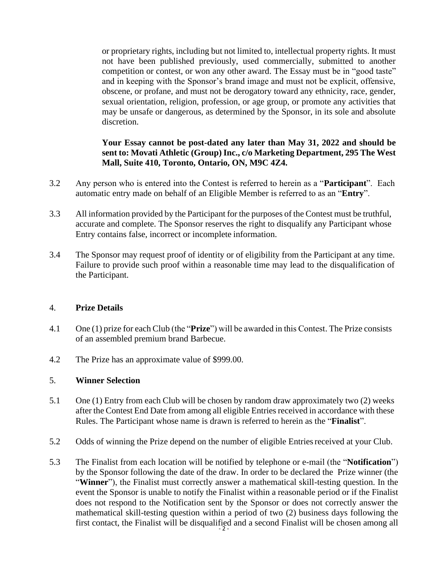or proprietary rights, including but not limited to, intellectual property rights. It must not have been published previously, used commercially, submitted to another competition or contest, or won any other award. The Essay must be in "good taste" and in keeping with the Sponsor's brand image and must not be explicit, offensive, obscene, or profane, and must not be derogatory toward any ethnicity, race, gender, sexual orientation, religion, profession, or age group, or promote any activities that may be unsafe or dangerous, as determined by the Sponsor, in its sole and absolute discretion.

## **Your Essay cannot be post-dated any later than May 31, 2022 and should be sent to: Movati Athletic (Group) Inc., c/o Marketing Department, 295 The West Mall, Suite 410, Toronto, Ontario, ON, M9C 4Z4.**

- 3.2 Any person who is entered into the Contest is referred to herein as a "**Participant**". Each automatic entry made on behalf of an Eligible Member is referred to as an "**Entry**".
- 3.3 All information provided by the Participant for the purposes of the Contest must be truthful, accurate and complete. The Sponsor reserves the right to disqualify any Participant whose Entry contains false, incorrect or incomplete information.
- 3.4 The Sponsor may request proof of identity or of eligibility from the Participant at any time. Failure to provide such proof within a reasonable time may lead to the disqualification of the Participant.

### 4. **Prize Details**

- 4.1 One (1) prize for each Club (the "**Prize**") will be awarded in this Contest. The Prize consists of an assembled premium brand Barbecue.
- 4.2 The Prize has an approximate value of \$999.00.

## 5. **Winner Selection**

- 5.1 One (1) Entry from each Club will be chosen by random draw approximately two (2) weeks after the Contest End Date from among all eligible Entries received in accordance with these Rules. The Participant whose name is drawn is referred to herein as the "**Finalist**".
- 5.2 Odds of winning the Prize depend on the number of eligible Entriesreceived at your Club.
- first contact, the Finalist will be disqualified and a second Finalist will be chosen among all  $\frac{2}{1}$ 5.3 The Finalist from each location will be notified by telephone or e-mail (the "**Notification**") by the Sponsor following the date of the draw. In order to be declared the Prize winner (the "**Winner**"), the Finalist must correctly answer a mathematical skill-testing question. In the event the Sponsor is unable to notify the Finalist within a reasonable period or if the Finalist does not respond to the Notification sent by the Sponsor or does not correctly answer the mathematical skill-testing question within a period of two (2) business days following the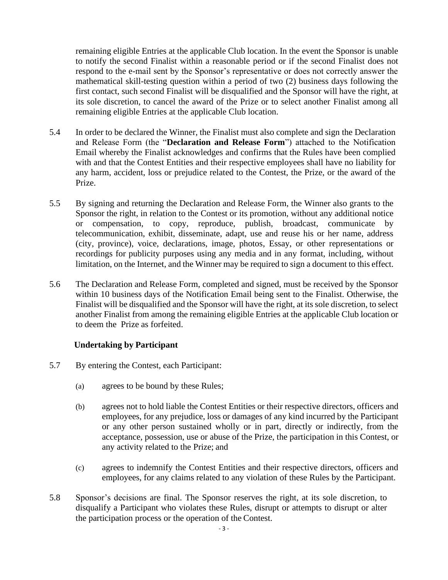remaining eligible Entries at the applicable Club location. In the event the Sponsor is unable to notify the second Finalist within a reasonable period or if the second Finalist does not respond to the e-mail sent by the Sponsor's representative or does not correctly answer the mathematical skill-testing question within a period of two (2) business days following the first contact, such second Finalist will be disqualified and the Sponsor will have the right, at its sole discretion, to cancel the award of the Prize or to select another Finalist among all remaining eligible Entries at the applicable Club location.

- 5.4 In order to be declared the Winner, the Finalist must also complete and sign the Declaration and Release Form (the "**Declaration and Release Form**") attached to the Notification Email whereby the Finalist acknowledges and confirms that the Rules have been complied with and that the Contest Entities and their respective employees shall have no liability for any harm, accident, loss or prejudice related to the Contest, the Prize, or the award of the Prize.
- 5.5 By signing and returning the Declaration and Release Form, the Winner also grants to the Sponsor the right, in relation to the Contest or its promotion, without any additional notice or compensation, to copy, reproduce, publish, broadcast, communicate by telecommunication, exhibit, disseminate, adapt, use and reuse his or her name, address (city, province), voice, declarations, image, photos, Essay, or other representations or recordings for publicity purposes using any media and in any format, including, without limitation, on the Internet, and the Winner may be required to sign a document to this effect.
- 5.6 The Declaration and Release Form, completed and signed, must be received by the Sponsor within 10 business days of the Notification Email being sent to the Finalist. Otherwise, the Finalist will be disqualified and the Sponsor will have the right, at its sole discretion, to select another Finalist from among the remaining eligible Entries at the applicable Club location or to deem the Prize as forfeited.

### **Undertaking by Participant**

- 5.7 By entering the Contest, each Participant:
	- (a) agrees to be bound by these Rules;
	- (b) agrees not to hold liable the Contest Entities or their respective directors, officers and employees, for any prejudice, loss or damages of any kind incurred by the Participant or any other person sustained wholly or in part, directly or indirectly, from the acceptance, possession, use or abuse of the Prize, the participation in this Contest, or any activity related to the Prize; and
	- (c) agrees to indemnify the Contest Entities and their respective directors, officers and employees, for any claims related to any violation of these Rules by the Participant.
- 5.8 Sponsor's decisions are final. The Sponsor reserves the right, at its sole discretion, to disqualify a Participant who violates these Rules, disrupt or attempts to disrupt or alter the participation process or the operation of the Contest.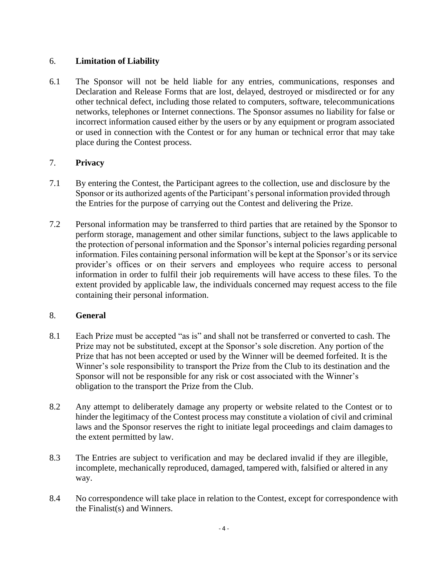### 6. **Limitation of Liability**

6.1 The Sponsor will not be held liable for any entries, communications, responses and Declaration and Release Forms that are lost, delayed, destroyed or misdirected or for any other technical defect, including those related to computers, software, telecommunications networks, telephones or Internet connections. The Sponsor assumes no liability for false or incorrect information caused either by the users or by any equipment or program associated or used in connection with the Contest or for any human or technical error that may take place during the Contest process.

## 7. **Privacy**

- 7.1 By entering the Contest, the Participant agrees to the collection, use and disclosure by the Sponsor or its authorized agents of the Participant's personal information provided through the Entries for the purpose of carrying out the Contest and delivering the Prize.
- 7.2 Personal information may be transferred to third parties that are retained by the Sponsor to perform storage, management and other similar functions, subject to the laws applicable to the protection of personal information and the Sponsor's internal policies regarding personal information. Files containing personal information will be kept at the Sponsor's or its service provider's offices or on their servers and employees who require access to personal information in order to fulfil their job requirements will have access to these files. To the extent provided by applicable law, the individuals concerned may request access to the file containing their personal information.

## 8. **General**

- 8.1 Each Prize must be accepted "as is" and shall not be transferred or converted to cash. The Prize may not be substituted, except at the Sponsor's sole discretion. Any portion of the Prize that has not been accepted or used by the Winner will be deemed forfeited. It is the Winner's sole responsibility to transport the Prize from the Club to its destination and the Sponsor will not be responsible for any risk or cost associated with the Winner's obligation to the transport the Prize from the Club.
- 8.2 Any attempt to deliberately damage any property or website related to the Contest or to hinder the legitimacy of the Contest process may constitute a violation of civil and criminal laws and the Sponsor reserves the right to initiate legal proceedings and claim damagesto the extent permitted by law.
- 8.3 The Entries are subject to verification and may be declared invalid if they are illegible, incomplete, mechanically reproduced, damaged, tampered with, falsified or altered in any way.
- 8.4 No correspondence will take place in relation to the Contest, except for correspondence with the Finalist(s) and Winners.